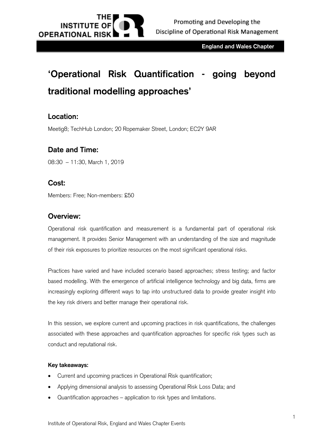

**England and Wales Chapter**

# **'Operational Risk Quantification - going beyond traditional modelling approaches'**

### **Location:**

Meetig8; TechHub London; 20 Ropemaker Street, London; EC2Y 9AR

### **Date and Time:**

08:30 – 11:30, March 1, 2019

#### **Cost:**

Members: Free; Non-members: £50

#### **Overview:**

Operational risk quantification and measurement is a fundamental part of operational risk management. It provides Senior Management with an understanding of the size and magnitude of their risk exposures to prioritize resources on the most significant operational risks.

Practices have varied and have included scenario based approaches; stress testing; and factor based modelling. With the emergence of artificial intelligence technology and big data, firms are increasingly exploring different ways to tap into unstructured data to provide greater insight into the key risk drivers and better manage their operational risk.

In this session, we explore current and upcoming practices in risk quantifications, the challenges associated with these approaches and quantification approaches for specific risk types such as conduct and reputational risk.

#### **Key takeaways:**

- Current and upcoming practices in Operational Risk quantification;
- Applying dimensional analysis to assessing Operational Risk Loss Data; and
- Quantification approaches application to risk types and limitations.